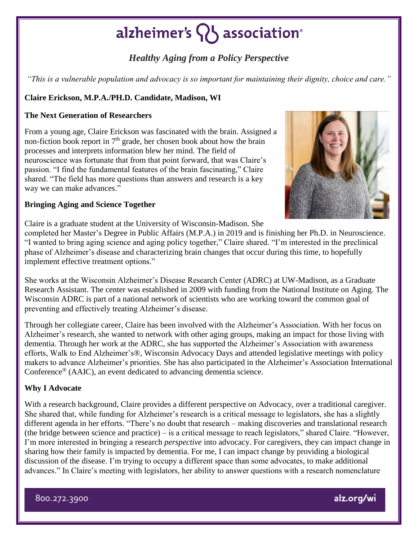## alzheimer's  $\{ \}$  association<sup>®</sup>

### *Healthy Aging from a Policy Perspective*

*"This is a vulnerable population and advocacy is so important for maintaining their dignity, choice and care."*

#### **Claire Erickson, M.P.A./PH.D. Candidate, Madison, WI**

#### **The Next Generation of Researchers**

From a young age, Claire Erickson was fascinated with the brain. Assigned a non-fiction book report in  $7<sup>th</sup>$  grade, her chosen book about how the brain processes and interprets information blew her mind. The field of neuroscience was fortunate that from that point forward, that was Claire's passion. "I find the fundamental features of the brain fascinating," Claire shared. "The field has more questions than answers and research is a key way we can make advances."



#### **Bringing Aging and Science Together**

Claire is a graduate student at the University of Wisconsin-Madison. She

completed her Master's Degree in Public Affairs (M.P.A.) in 2019 and is finishing her Ph.D. in Neuroscience. "I wanted to bring aging science and aging policy together," Claire shared. "I'm interested in the preclinical phase of Alzheimer's disease and characterizing brain changes that occur during this time, to hopefully implement effective treatment options."

She works at the Wisconsin Alzheimer's Disease Research Center (ADRC) at UW-Madison, as a Graduate Research Assistant. The center was established in 2009 with funding from the National Institute on Aging. The Wisconsin ADRC is part of a national network of scientists who are working toward the common goal of [preventing and effectively treating Alzheimer's disease.](https://aspe.hhs.gov/national-plans-address-alzheimers-disease)

Through her collegiate career, Claire has been involved with the Alzheimer's Association. With her focus on Alzheimer's research, she wanted to network with other aging groups, making an impact for those living with dementia. Through her work at the ADRC, she has supported the Alzheimer's Association with awareness efforts, Walk to End Alzheimer's®, Wisconsin Advocacy Days and attended legislative meetings with policy makers to advance Alzheimer's priorities. She has also participated in the Alzheimer's Association International Conference® (AAIC), an event dedicated to advancing dementia science.

#### **Why I Advocate**

With a research background, Claire provides a different perspective on Advocacy, over a traditional caregiver. She shared that, while funding for Alzheimer's research is a critical message to legislators, she has a slightly different agenda in her efforts. "There's no doubt that research – making discoveries and translational research (the bridge between science and practice) – is a critical message to reach legislators," shared Claire. "However, I'm more interested in bringing a research *perspective* into advocacy. For caregivers, they can impact change in sharing how their family is impacted by dementia. For me, I can impact change by providing a biological discussion of the disease. I'm trying to occupy a different space than some advocates, to make additional advances." In Claire's meeting with legislators, her ability to answer questions with a research nomenclature

800.272.3900